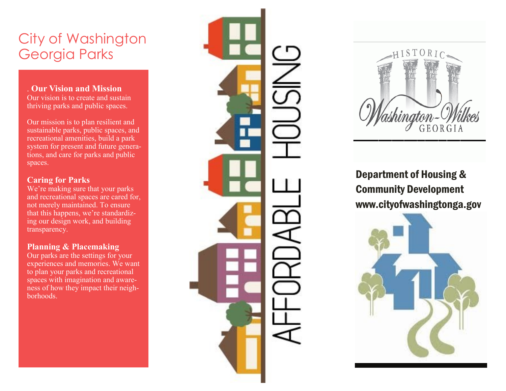# City of Washington Georgia Parks

# . **Our Vision and Mission**

Our vision is to create and sustain thriving parks and public spaces.

Our mission is to plan resilient and sustainable parks, public spaces, and recreational amenities, build a park system for present and future generations, and care for parks and public spaces.

# **Caring for Parks**

We 're making sure that your parks and recreational spaces are cared for, not merely maintained. To ensure that this happens, we 're standardizing our design work, and building transparency.

# **Planning & Placemaking**

Our parks are the settings for your experiences and memories. We want to plan your parks and recreational spaces with imagination and awareness of how they impact their neighborhoods.





Department of Housing & Community Development www.cityofwashingtonga.gov